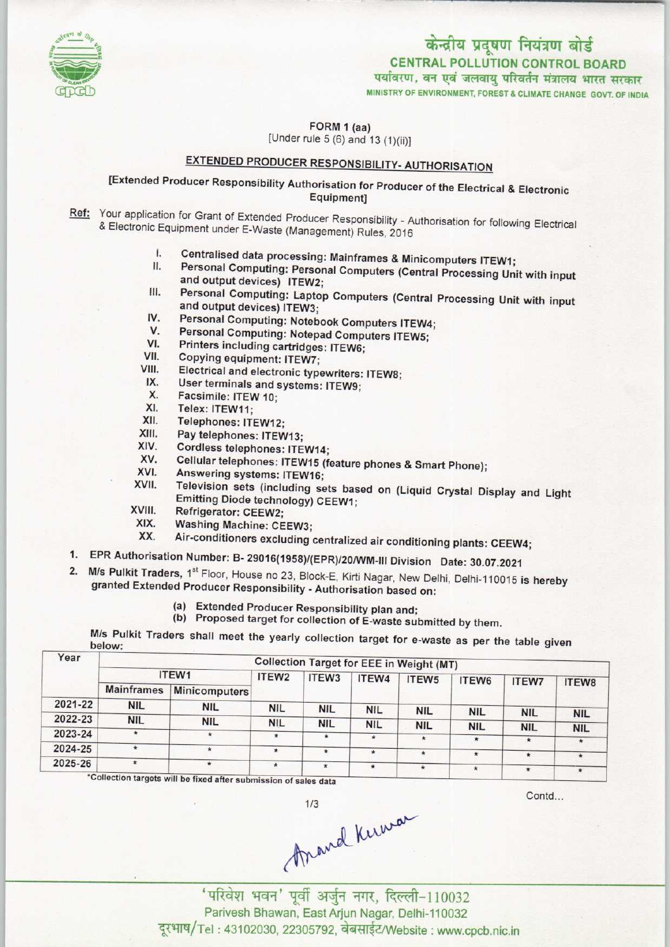

# केन्द्रीय प्रदूषण नियंत्रण बोर्ड CENTRAL POLLUTION CONTROL BOARD

MINISTRY OF ENVIRONMENT, FOREST & CLIMATE CHANGE GOVT. OF INDIA पर्यावरण, वन एवं जलवायु परिवर्तन मंत्रालय भारत सरकार

FORM 1 (aa) [Under rule 5 (6) and 13 (1)(ii)]

# EXTENDED PRODUCER RESPONSIBILITY- AUTHORISATION

[Extended Producer Responsibility Authorisation for Producer of the Electrical & Electronic Equipment]

Ref: Your application for Grant of Extended Producer Responsibility - Authorisation for following Electrical & Electronic Equipment under E-Waste (Management) Rules, 2016

- I. Centralised data processing: Mainframes & Minicomputers ITEW1;<br>II. Personal Computing: Personal Computers (Ostate in D
- I. Centralised data processing: Mainframes & Minicomputers ITEW1;<br>II. Personal Computing: Personal Computers (Central Processing Unit with input<br>and output devices). ITEW2. and output devices) ITEW2; II. Personal Computing: Personal Computers (Central Processing Unit with input<br>and output devices) ITEW2;<br>III. Personal Computing: Laptop Computers (Central Processing Unit with input<br>and output devices) ITEW2.
- and output devices) ITEW3;<br>Personal Computing: Notebook Computers ITEW4; III. Personal Computing: Laptop Computers (Central Processing Unit with input<br>and output devices) ITEW3;<br>IV. Personal Computing: Notebook Computers ITEW4;<br>V. Personal Computing: Notebook Computers ITEW4;
- IV. Personal Computing: Notebook Com<br>V. Personal Computing: Notepad Comp<br>VI. Printers including cartridges: ITEW6;<br>III. Conving equipment: ITEW7.
- V. Personal Computing: Notepook Computers ITEW.
- 
- V. Personal Computing: Notep<br>VI. Printers including cartridge:<br>VII. Copying equipment: ITEW7;<br>VIII. Electrical and electronic turn
- VI. Printers including cartridges: ITEW6;<br>VII. Copying equipment: ITEW7;<br>VIII. Electrical and electronic typewriters: ITEW8;<br>IX. User terminals and systems: ITEW0. VII. Copying equipment: ITEW7;<br>III. Electrical and electronic typewriters<br>IX. User terminals and systems: ITEW9;<br>X. Eacsimile: ITEW 10: III. Electrical and electrical and electrical and electrical and New York Telextrical ITEW 10;<br>X. Facsimile: ITEW 10;<br>X. Telex: ITEW 11;
- 
- X. Facsimile: ITEW 10;<br>XI. Telex: ITEW11;<br>XII. Telephones: ITEW11
- 
- XII. Telephones: ITEW12;
- XI. Telex: ITEW11;<br>XII. Telephones: ITEW12;<br>XIII. Pay telephones: ITEW13;<br>XIV. Cordiess telephones: ITE
- XIII. Pay telephones: ITEW13;<br>XIV. Cordless telephones: ITEW14;<br>XV. Cellular telephones: ITEW15 (5) XIV. Cordless telephones: ITEW14<br>XV. Cellular telephones: ITEW15<br>XVI. Answering systems: ITEW16<br>KVII. Television systems: ITEW16
- XIII. Pay telephones: ITEW13;<br>XIV. Cordless telephones: ITEW14;<br>XV. Cellular telephones: ITEW15 (feature phones & Smart Phone);<br>XVI. Answering systems; ITEW16;
- 

XVI. Answering systems: ITEW16;<br>XVII. Television sets (including sets based on (Liquid Crystal Display and Light Emitting Diode technology) CEEW1;

- XVIII. Refrigerator: CEEW2;<br>XIX. Washing Machine: CE
- XIX. Washing Machine: CEEW3;<br>XX. Air-conditioners excluding
- Air-conditioners excluding centralized air conditioning plants: CEEW4;
- 1.EPR Authorisation Number: B- 29016(1958)/(EPR)/20/WM-IM Division Date: 30.07.2021
- 2. M/s Pulkit Traders, 1<sup>st</sup> Floor, House no 23, Block-E, Kirti Nagar, New Delhi, Delhi-110015 is hereby granted Extended Producer Responsibility -Authorisation based on:
	- (a) Extended Producer Responsibility plan and;
	- (b) Proposed target for collection of E-waste submitted by them.

| Year    | <b>Collection Target for EEE in Weight (MT)</b> |               |                   |            |            |                   |                   |                       |                       |  |  |
|---------|-------------------------------------------------|---------------|-------------------|------------|------------|-------------------|-------------------|-----------------------|-----------------------|--|--|
|         | ITEW1                                           |               | ITEW <sub>2</sub> | ITEW3      | ITEW4      | ITEW <sub>5</sub> | ITEW <sub>6</sub> | <b>ITEW7</b>          | ITEW8                 |  |  |
|         | <b>Mainframes</b>                               | Minicomputers |                   |            |            |                   |                   |                       |                       |  |  |
| 2021-22 | <b>NIL</b>                                      | <b>NIL</b>    | <b>NIL</b>        | <b>NIL</b> | <b>NIL</b> | <b>NIL</b>        | <b>NIL</b>        | <b>NIL</b>            |                       |  |  |
| 2022-23 | <b>NIL</b>                                      | <b>NIL</b>    | <b>NIL</b>        | <b>NIL</b> | <b>NIL</b> | <b>NIL</b>        | <b>NIL</b>        |                       | <b>NIL</b>            |  |  |
| 2023-24 | $\star$                                         | $\ast$        | $\star$           | $\star$    | $\star$    | $\star$           | $\star$           | <b>NIL</b><br>$\star$ | <b>NIL</b><br>$\star$ |  |  |
| 2024-25 | $\star$                                         | $\star$       | ÷                 | $\star$    | $\ast$     | $\star$           | $\star$           | $\star$               |                       |  |  |
| 2025-26 | $\star$                                         | $\star$       | $\star$           | $\star$    | $\star$    | $\star$           | $\star$           | $\star$               | $\star$               |  |  |

e fixed after submission of sales data

Contd...

(mand Kuman)<br>Rada 2011<br>Reda 407 Edition 301 Parivesh Bhawan, East Arjun Nagar, Delhi-110032 दूरभाष/Tel: 43102030, 22305792, वेबसाईट/Website : www.cpcb.nic.in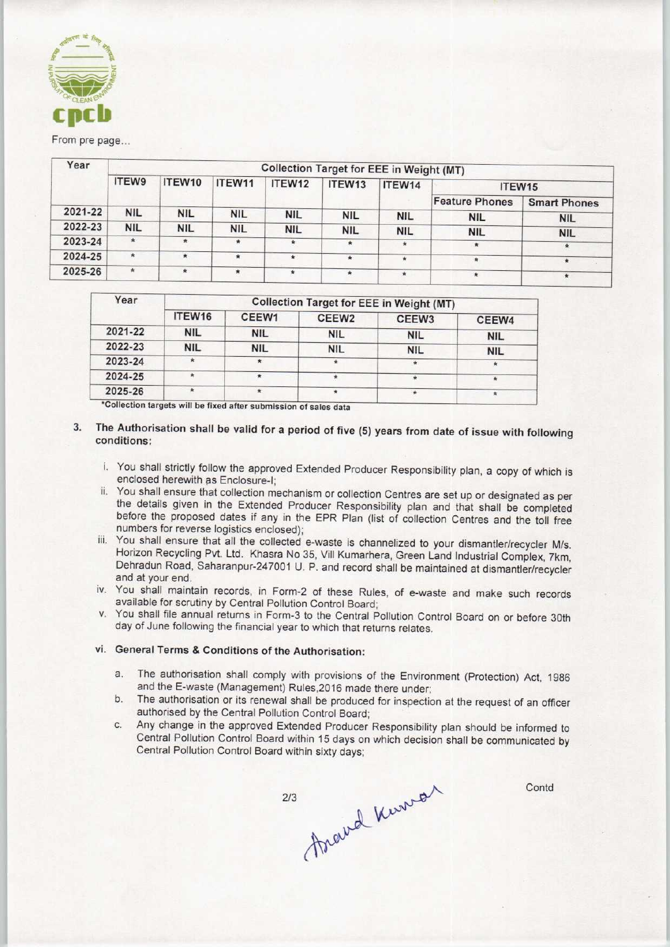

### From pre page...

| Year    |            |            |            | Collection Target for EEE in Weight (MT) |              |            |                       |                     |
|---------|------------|------------|------------|------------------------------------------|--------------|------------|-----------------------|---------------------|
|         | ITEW9      | ITEW10     | ITEW11     | ITEW12                                   | ITEW13       | ITEW14     | ITEW15                |                     |
|         |            |            |            |                                          |              |            | <b>Feature Phones</b> | <b>Smart Phones</b> |
| 2021-22 | <b>NIL</b> | <b>NIL</b> | <b>NIL</b> | <b>NIL</b>                               | <b>NIL</b>   | <b>NIL</b> | <b>NIL</b>            | <b>NIL</b>          |
| 2022-23 | <b>NIL</b> | <b>NIL</b> | <b>NIL</b> | <b>NIL</b>                               | <b>NIL</b>   | <b>NIL</b> | <b>NIL</b>            | <b>NIL</b>          |
| 2023-24 | $\star$    | $\star$    | $\star$    | $\pmb{\ast}$                             | $\pmb{\ast}$ | $\star$    | $\star$               | 金                   |
| 2024-25 | $\star$    | $\star$    | $\star$    | $\star$                                  | $\star$      | $\star$    | $\frac{1}{2}$         | $\star$             |
| 2025-26 | ÷          | $\star$    | $\star$    | $\star$                                  | $\pmb{\ast}$ | $\star$    | $\star$               | $\star$             |

| Year    | <b>Collection Target for EEE in Weight (MT)</b> |            |                   |                   |            |  |  |  |
|---------|-------------------------------------------------|------------|-------------------|-------------------|------------|--|--|--|
|         | ITEW16                                          | CEEW1      | CEEW <sub>2</sub> | CEEW <sub>3</sub> | CEEW4      |  |  |  |
| 2021-22 | <b>NIL</b>                                      | <b>NIL</b> | <b>NIL</b>        | <b>NIL</b>        | <b>NIL</b> |  |  |  |
| 2022-23 | <b>NIL</b>                                      | <b>NIL</b> | <b>NIL</b>        | <b>NIL</b>        | <b>NIL</b> |  |  |  |
| 2023-24 | Ŕ                                               | $\star$    |                   | $\star$           |            |  |  |  |
| 2024-25 |                                                 | $\star$    |                   |                   |            |  |  |  |
| 2025-26 | *                                               | $\star$    | $\star$           |                   |            |  |  |  |

'Collection targets will be fixed aftersubmission of sales data

### $3.$ The Authorisation shall be valid for a period of five (5) years from date of issue with following conditions:

- i. You shall strictly follow the approved Extended Producer Responsibility plan, a copy of which is enclosed herewith as Enclosure-I;
- ii. You shall ensure that collection mechanism or collection Centres are set up or designated as per the details given in the Extended Producer Responsibility plan and that shall be completed before the proposed dates if any in the EPR Plan (list of collection Centres and the toll free numbers for reverse logistics enclosed);
- iii. You shall ensure that all the collected e-waste is channelized to your dismantler/recycler M/s. Horizon Recycling Pvt. Ltd. Khasra No 35, Vill Kumarhera, Green Land Industrial Complex, 7km, Dehradun Road. Saharanpur-247001 U. P. and record shall be maintained at dismantler/recycler and at your end.
- iv. You shall maintain records, in Form-2 of these Rules, of e-waste and make such records available for scrutiny by Central Pollution Control Board;
- v. You shall file annual returns in Form-3 to the Central Pollution Control Board on or before 30th day of June following the financial year to which that returns relates.

### vi. General Terms & Conditions of the Authorisation:

- a.The authorisation shall comply with provisions of the Environment (Protection) Act, <sup>1986</sup> and the E-waste (Management) Rules,2016 made there under;
- b. The authorisation or its renewal shall be produced for inspection at the request of an officer authorised by the Central Pollution Control Board;
- c.Any change in the approved Extended Producer Responsibility plan should be informed to Central Pollution Control Board within 15 days on which decision shall be communicated by Central Pollution Control Board within sixty days;

Around Knowar  $2/3$ 

Contd